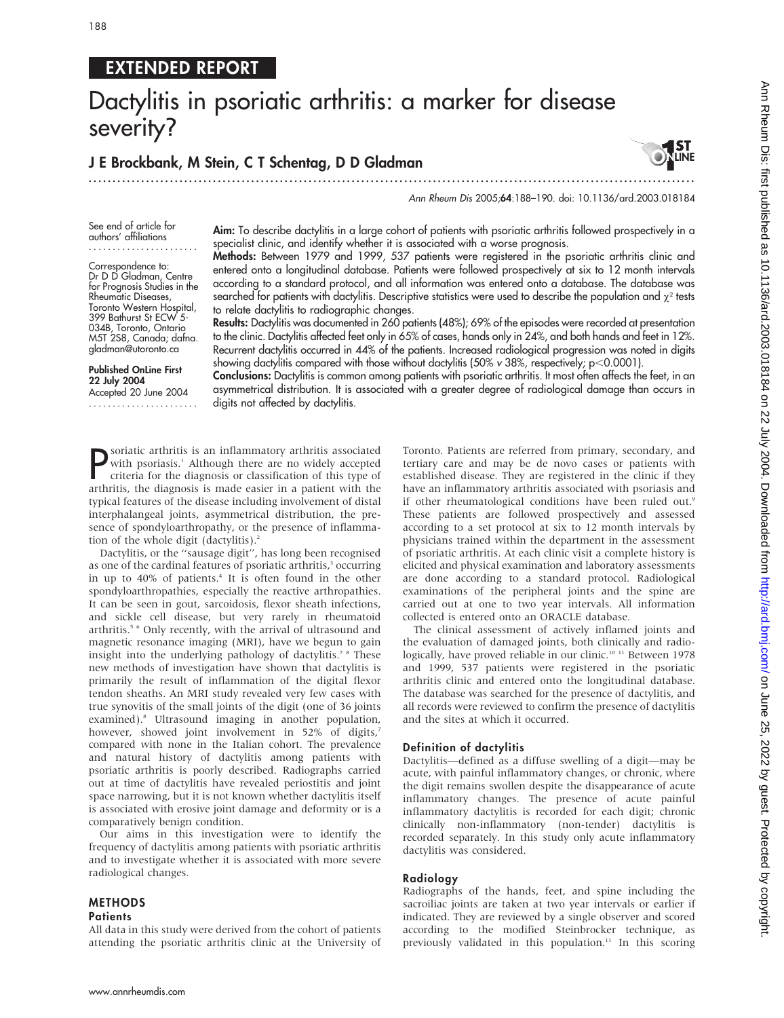188

## EXTENDED REPORT

# Dactylitis in psoriatic arthritis: a marker for disease severity?

#### J E Brockbank, M Stein, C T Schentag, D D Gladman

.............................................................................................................................. .



Ann Rheum Dis 2005;64:188–190. doi: 10.1136/ard.2003.018184

See end of article for authors' affiliations .......................

Correspondence to: Dr D D Gladman, Centre for Prognosis Studies in the Rheumatic Diseases, Toronto Western Hospital, 399 Bathurst St ECW 5- 034B, Toronto, Ontario M5T 2S8, Canada; dafna. gladman@utoronto.ca

Published OnLine First 22 July 2004 Accepted 20 June 2004 ....................... Aim: To describe dactylitis in a large cohort of patients with psoriatic arthritis followed prospectively in a specialist clinic, and identify whether it is associated with a worse prognosis.

Methods: Between 1979 and 1999, 537 patients were registered in the psoriatic arthritis clinic and entered onto a longitudinal database. Patients were followed prospectively at six to 12 month intervals according to a standard protocol, and all information was entered onto a database. The database was searched for patients with dactylitis. Descriptive statistics were used to describe the population and  $\chi^2$  tests to relate dactylitis to radiographic changes.

Results: Dactylitis was documented in 260 patients (48%); 69% of the episodes were recorded at presentation to the clinic. Dactylitis affected feet only in 65% of cases, hands only in 24%, and both hands and feet in 12%. Recurrent dactylitis occurred in 44% of the patients. Increased radiological progression was noted in digits showing dactylitis compared with those without dactylitis (50%  $v$  38%, respectively;  $p$ <0.0001).

Conclusions: Dactylitis is common among patients with psoriatic arthritis. It most often affects the feet, in an asymmetrical distribution. It is associated with a greater degree of radiological damage than occurs in digits not affected by dactylitis.

**P** soriatic arthritis is an inflammatory arthritis associated<br>with psoriasis.<sup>1</sup> Although there are no widely accepted<br>criteria for the diagnosis or classification of this type of<br>arthritis the diagnosis is made easier in soriatic arthritis is an inflammatory arthritis associated criteria for the diagnosis or classification of this type of arthritis, the diagnosis is made easier in a patient with the typical features of the disease including involvement of distal interphalangeal joints, asymmetrical distribution, the presence of spondyloarthropathy, or the presence of inflammation of the whole digit (dactylitis).<sup>2</sup>

Dactylitis, or the ''sausage digit'', has long been recognised as one of the cardinal features of psoriatic arthritis,<sup>3</sup> occurring in up to  $40\%$  of patients.<sup>4</sup> It is often found in the other spondyloarthropathies, especially the reactive arthropathies. It can be seen in gout, sarcoidosis, flexor sheath infections, and sickle cell disease, but very rarely in rheumatoid arthritis.<sup>5 6</sup> Only recently, with the arrival of ultrasound and magnetic resonance imaging (MRI), have we begun to gain insight into the underlying pathology of dactylitis.<sup>7</sup> <sup>8</sup> These new methods of investigation have shown that dactylitis is primarily the result of inflammation of the digital flexor tendon sheaths. An MRI study revealed very few cases with true synovitis of the small joints of the digit (one of 36 joints examined).<sup>8</sup> Ultrasound imaging in another population, however, showed joint involvement in 52% of digits,<sup>7</sup> compared with none in the Italian cohort. The prevalence and natural history of dactylitis among patients with psoriatic arthritis is poorly described. Radiographs carried out at time of dactylitis have revealed periostitis and joint space narrowing, but it is not known whether dactylitis itself is associated with erosive joint damage and deformity or is a comparatively benign condition.

Our aims in this investigation were to identify the frequency of dactylitis among patients with psoriatic arthritis and to investigate whether it is associated with more severe radiological changes.

#### METHODS

#### **Patients**

All data in this study were derived from the cohort of patients attending the psoriatic arthritis clinic at the University of Toronto. Patients are referred from primary, secondary, and tertiary care and may be de novo cases or patients with established disease. They are registered in the clinic if they have an inflammatory arthritis associated with psoriasis and if other rheumatological conditions have been ruled out.<sup>9</sup> These patients are followed prospectively and assessed according to a set protocol at six to 12 month intervals by physicians trained within the department in the assessment of psoriatic arthritis. At each clinic visit a complete history is elicited and physical examination and laboratory assessments are done according to a standard protocol. Radiological examinations of the peripheral joints and the spine are carried out at one to two year intervals. All information collected is entered onto an ORACLE database.

The clinical assessment of actively inflamed joints and the evaluation of damaged joints, both clinically and radiologically, have proved reliable in our clinic.<sup>10 11</sup> Between 1978 and 1999, 537 patients were registered in the psoriatic arthritis clinic and entered onto the longitudinal database. The database was searched for the presence of dactylitis, and all records were reviewed to confirm the presence of dactylitis and the sites at which it occurred.

#### Definition of dactylitis

Dactylitis—defined as a diffuse swelling of a digit—may be acute, with painful inflammatory changes, or chronic, where the digit remains swollen despite the disappearance of acute inflammatory changes. The presence of acute painful inflammatory dactylitis is recorded for each digit; chronic clinically non-inflammatory (non-tender) dactylitis is recorded separately. In this study only acute inflammatory dactylitis was considered.

#### Radiology

Radiographs of the hands, feet, and spine including the sacroiliac joints are taken at two year intervals or earlier if indicated. They are reviewed by a single observer and scored according to the modified Steinbrocker technique, as previously validated in this population.<sup>11</sup> In this scoring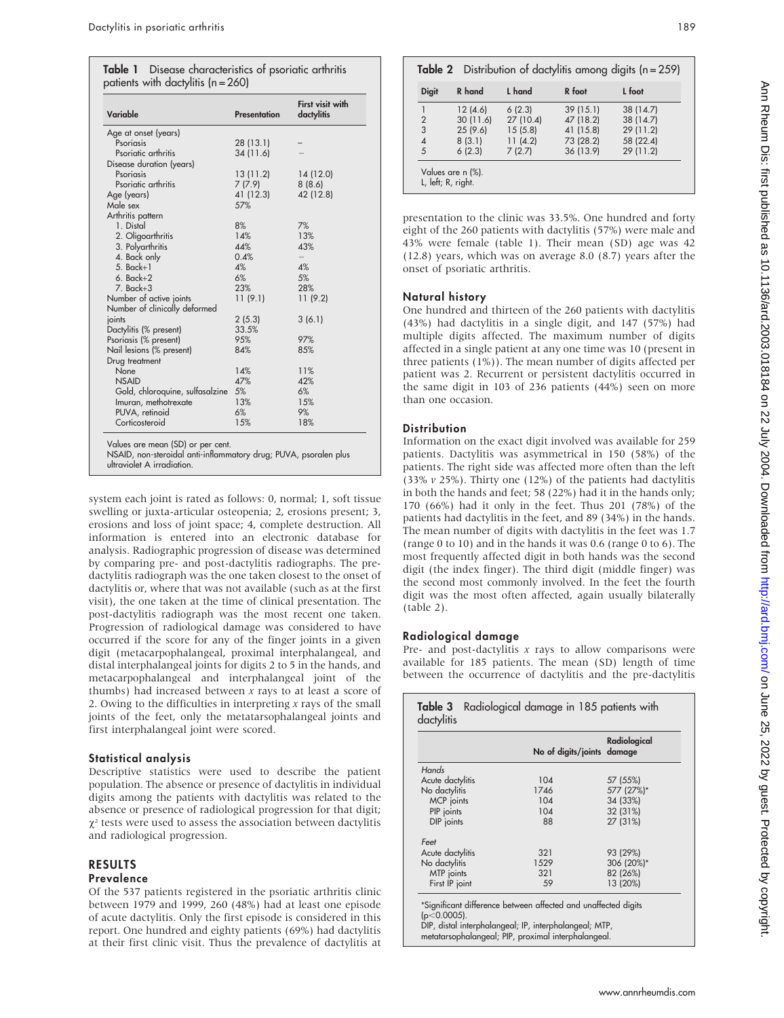| Variable                           | <b>Presentation</b> | First visit with<br>dactylitis |
|------------------------------------|---------------------|--------------------------------|
| Age at onset (years)               |                     |                                |
| Psoriasis                          | 28 (13.1)           |                                |
| Psoriatic arthritis                | 34 (11.6)           |                                |
| Disease duration (years)           |                     |                                |
| Psoriasis                          | 13(11.2)            | 14 (12.0)                      |
| Psoriatic arthritis                | 7(7.9)              | 8(8.6)                         |
| Age (years)                        | 41 (12.3)           | 42 (12.8)                      |
| Male sex                           | 57%                 |                                |
| Arthritis pattern                  |                     |                                |
| 1. Distal                          | 8%                  | 7%                             |
| 2. Oligoarthritis                  | 14%                 | 13%                            |
| 3. Polyarthritis                   | 44%                 | 43%                            |
| 4. Back only                       | 0.4%                | $-$                            |
| $5.$ Back+1                        | 4%                  | 4%                             |
| $6.$ Back+2                        | 6%                  | 5%                             |
| $7.$ Back+3                        | 23%                 | 28%                            |
| Number of active joints            | 11(9.1)             | 11(9.2)                        |
| Number of clinically deformed      |                     |                                |
| joints                             | 2(5.3)              | 3(6.1)                         |
| Dactylitis (% present)             | 33.5%               |                                |
| Psoriasis (% present)              | 95%                 | 97%                            |
| Nail lesions (% present)           | 84%                 | 85%                            |
| Drug treatment                     |                     |                                |
| None                               | 14%                 | 11%                            |
| <b>NSAID</b>                       | 47%                 | 42%                            |
| Gold, chloroquine, sulfasalzine 5% |                     | 6%                             |
| Imuran, methotrexate               | 13%                 | 15%                            |
| PUVA, retinoid                     | 6%                  | 9%                             |
| Corticosteroid                     | 15%                 | 18%                            |

system each joint is rated as follows: 0, normal; 1, soft tissue swelling or juxta-articular osteopenia; 2, erosions present; 3, erosions and loss of joint space; 4, complete destruction. All information is entered into an electronic database for analysis. Radiographic progression of disease was determined by comparing pre- and post-dactylitis radiographs. The predactylitis radiograph was the one taken closest to the onset of dactylitis or, where that was not available (such as at the first visit), the one taken at the time of clinical presentation. The post-dactylitis radiograph was the most recent one taken. Progression of radiological damage was considered to have occurred if the score for any of the finger joints in a given digit (metacarpophalangeal, proximal interphalangeal, and distal interphalangeal joints for digits 2 to 5 in the hands, and metacarpophalangeal and interphalangeal joint of the thumbs) had increased between  $x$  rays to at least a score of 2. Owing to the difficulties in interpreting  $x$  rays of the small joints of the feet, only the metatarsophalangeal joints and first interphalangeal joint were scored.

#### Statistical analysis

Descriptive statistics were used to describe the patient population. The absence or presence of dactylitis in individual digits among the patients with dactylitis was related to the absence or presence of radiological progression for that digit;  $\chi^2$  tests were used to assess the association between dactylitis and radiological progression.

#### RESULTS

#### Prevalence

Of the 537 patients registered in the psoriatic arthritis clinic between 1979 and 1999, 260 (48%) had at least one episode of acute dactylitis. Only the first episode is considered in this report. One hundred and eighty patients (69%) had dactylitis at their first clinic visit. Thus the prevalence of dactylitis at

| <b>Digit</b>   | R hand            | L hand   | R foot    | L foot    |
|----------------|-------------------|----------|-----------|-----------|
|                | 12(4.6)           | 6(2.3)   | 39(15.1)  | 38 (14.7) |
| $\overline{2}$ | 30(11.6)          | 27(10.4) | 47 (18.2) | 38 (14.7) |
| 3              | 25(9.6)           | 15(5.8)  | 41 (15.8) | 29 (11.2) |
| $\overline{4}$ | 8(3.1)            | 11(4.2)  | 73 (28.2) | 58 (22.4) |
| 5              | 6(2.3)            | 7(2.7)   | 36 (13.9) | 29 (11.2) |
|                | Values are n (%). |          |           |           |

presentation to the clinic was 33.5%. One hundred and forty eight of the 260 patients with dactylitis (57%) were male and 43% were female (table 1). Their mean (SD) age was 42 (12.8) years, which was on average 8.0 (8.7) years after the onset of psoriatic arthritis.

### Natural history

One hundred and thirteen of the 260 patients with dactylitis (43%) had dactylitis in a single digit, and 147 (57%) had multiple digits affected. The maximum number of digits affected in a single patient at any one time was 10 (present in three patients (1%)). The mean number of digits affected per patient was 2. Recurrent or persistent dactylitis occurred in the same digit in 103 of 236 patients (44%) seen on more than one occasion.

#### **Distribution**

Information on the exact digit involved was available for 259 patients. Dactylitis was asymmetrical in 150 (58%) of the patients. The right side was affected more often than the left (33%  $v$  25%). Thirty one (12%) of the patients had dactylitis in both the hands and feet; 58 (22%) had it in the hands only; 170 (66%) had it only in the feet. Thus 201 (78%) of the patients had dactylitis in the feet, and 89 (34%) in the hands. The mean number of digits with dactylitis in the feet was 1.7 (range 0 to 10) and in the hands it was 0.6 (range 0 to 6). The most frequently affected digit in both hands was the second digit (the index finger). The third digit (middle finger) was the second most commonly involved. In the feet the fourth digit was the most often affected, again usually bilaterally (table 2).

#### Radiological damage

Pre- and post-dactylitis  $x$  rays to allow comparisons were available for 185 patients. The mean (SD) length of time between the occurrence of dactylitis and the pre-dactylitis

|                   | No of digits/joints damage | Radiological |
|-------------------|----------------------------|--------------|
| Hands             |                            |              |
| Acute dactylitis  | 104                        | 57 (55%)     |
| No dactylitis     | 1746                       | 577 (27%)*   |
| <b>MCP</b> joints | 104                        | 34 (33%)     |
| PIP joints        | 104                        | 32 (31%)     |
| DIP joints        | 88                         | 27 (31%)     |
| Feet              |                            |              |
| Acute dactylitis  | 321                        | 93 (29%)     |
| No dactylitis     | 1529                       | 306 (20%)*   |
| <b>MTP</b> joints | 321                        | 82 (26%)     |
| First IP joint    | 59                         | 13 (20%)     |
|                   |                            |              |